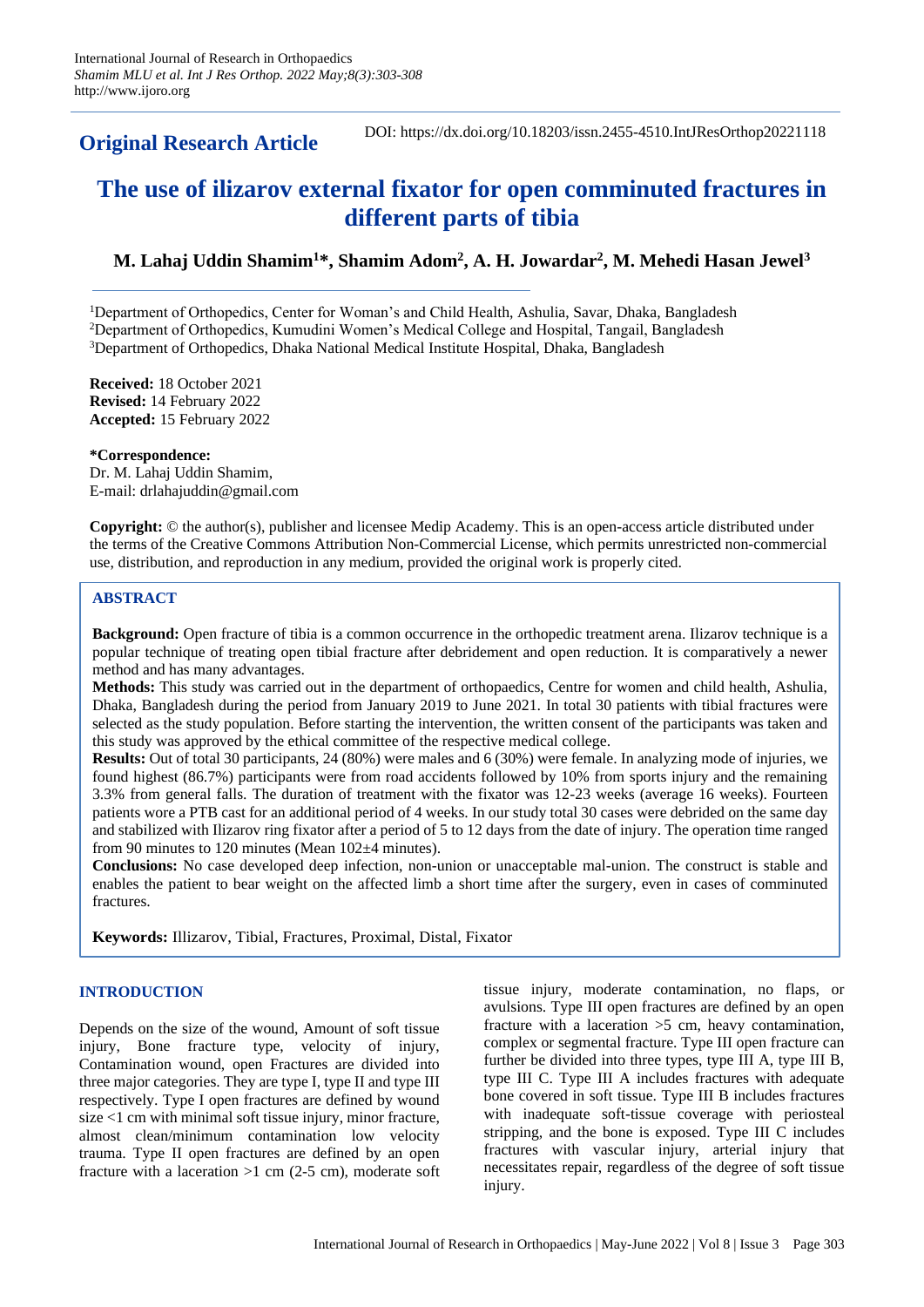**Original Research Article**

DOI: https://dx.doi.org/10.18203/issn.2455-4510.IntJResOrthop20221118

# **The use of ilizarov external fixator for open comminuted fractures in different parts of tibia**

## **M. Lahaj Uddin Shamim<sup>1</sup>\*, Shamim Adom<sup>2</sup> , A. H. Jowardar<sup>2</sup> , M. Mehedi Hasan Jewel<sup>3</sup>**

<sup>1</sup>Department of Orthopedics, Center for Woman's and Child Health, Ashulia, Savar, Dhaka, Bangladesh <sup>2</sup>Department of Orthopedics, Kumudini Women's Medical College and Hospital, Tangail, Bangladesh <sup>3</sup>Department of Orthopedics, Dhaka National Medical Institute Hospital, Dhaka, Bangladesh

**Received:** 18 October 2021 **Revised:** 14 February 2022 **Accepted:** 15 February 2022

**\*Correspondence:** Dr. M. Lahaj Uddin Shamim, E-mail: drlahajuddin@gmail.com

**Copyright:** © the author(s), publisher and licensee Medip Academy. This is an open-access article distributed under the terms of the Creative Commons Attribution Non-Commercial License, which permits unrestricted non-commercial use, distribution, and reproduction in any medium, provided the original work is properly cited.

## **ABSTRACT**

**Background:** Open fracture of tibia is a common occurrence in the orthopedic treatment arena. Ilizarov technique is a popular technique of treating open tibial fracture after debridement and open reduction. It is comparatively a newer method and has many advantages.

**Methods:** This study was carried out in the department of orthopaedics, Centre for women and child health, Ashulia, Dhaka, Bangladesh during the period from January 2019 to June 2021. In total 30 patients with tibial fractures were selected as the study population. Before starting the intervention, the written consent of the participants was taken and this study was approved by the ethical committee of the respective medical college.

**Results:** Out of total 30 participants, 24 (80%) were males and 6 (30%) were female. In analyzing mode of injuries, we found highest (86.7%) participants were from road accidents followed by 10% from sports injury and the remaining 3.3% from general falls. The duration of treatment with the fixator was 12-23 weeks (average 16 weeks). Fourteen patients wore a PTB cast for an additional period of 4 weeks. In our study total 30 cases were debrided on the same day and stabilized with Ilizarov ring fixator after a period of 5 to 12 days from the date of injury. The operation time ranged from 90 minutes to 120 minutes (Mean 102±4 minutes).

**Conclusions:** No case developed deep infection, non-union or unacceptable mal-union. The construct is stable and enables the patient to bear weight on the affected limb a short time after the surgery, even in cases of comminuted **fractures** 

**Keywords:** Illizarov, Tibial, Fractures, Proximal, Distal, Fixator

## **INTRODUCTION**

Depends on the size of the wound, Amount of soft tissue injury, Bone fracture type, velocity of injury, Contamination wound, open Fractures are divided into three major categories. They are type I, type II and type III respectively. Type I open fractures are defined by wound size <1 cm with minimal soft tissue injury, minor fracture, almost clean/minimum contamination low velocity trauma. Type II open fractures are defined by an open fracture with a laceration  $>1$  cm (2-5 cm), moderate soft tissue injury, moderate contamination, no flaps, or avulsions. Type III open fractures are defined by an open fracture with a laceration >5 cm, heavy contamination, complex or segmental fracture. Type III open fracture can further be divided into three types, type III A, type III B, type III C. Type III A includes fractures with adequate bone covered in soft tissue. Type III B includes fractures with inadequate soft-tissue coverage with periosteal stripping, and the bone is exposed. Type III C includes fractures with vascular injury, arterial injury that necessitates repair, regardless of the degree of soft tissue injury.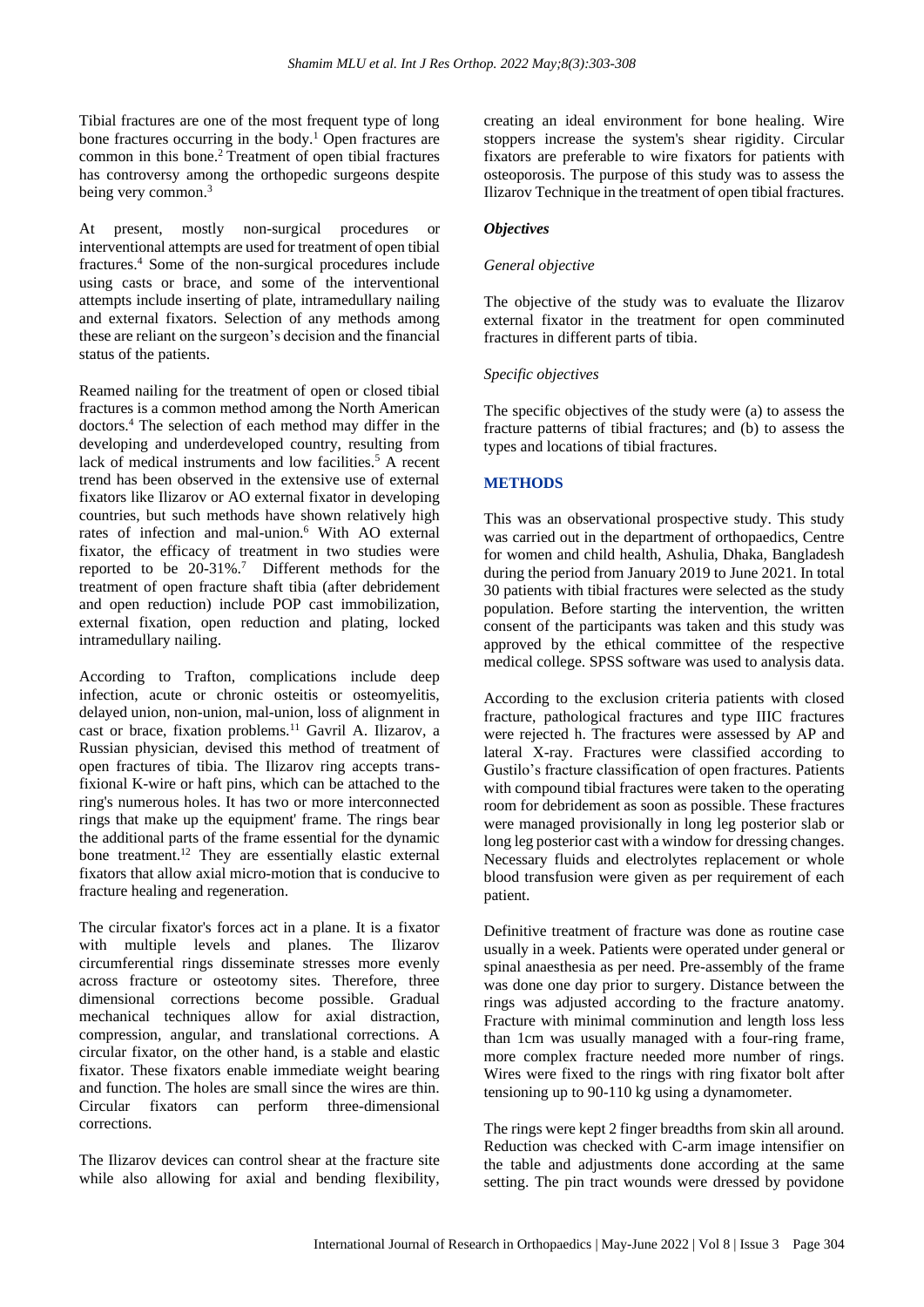Tibial fractures are one of the most frequent type of long bone fractures occurring in the body.<sup>1</sup> Open fractures are common in this bone.<sup>2</sup> Treatment of open tibial fractures has controversy among the orthopedic surgeons despite being very common.<sup>3</sup>

At present, mostly non-surgical procedures or interventional attempts are used for treatment of open tibial fractures.<sup>4</sup> Some of the non-surgical procedures include using casts or brace, and some of the interventional attempts include inserting of plate, intramedullary nailing and external fixators. Selection of any methods among these are reliant on the surgeon's decision and the financial status of the patients.

Reamed nailing for the treatment of open or closed tibial fractures is a common method among the North American doctors.<sup>4</sup> The selection of each method may differ in the developing and underdeveloped country, resulting from lack of medical instruments and low facilities.<sup>5</sup> A recent trend has been observed in the extensive use of external fixators like Ilizarov or AO external fixator in developing countries, but such methods have shown relatively high rates of infection and mal-union.<sup>6</sup> With AO external fixator, the efficacy of treatment in two studies were reported to be  $20-31\%$ .<sup>7</sup> Different methods for the treatment of open fracture shaft tibia (after debridement and open reduction) include POP cast immobilization, external fixation, open reduction and plating, locked intramedullary nailing.

According to Trafton, complications include deep infection, acute or chronic osteitis or osteomyelitis, delayed union, non-union, mal-union, loss of alignment in cast or brace, fixation problems.<sup>11</sup> Gavril A. Ilizarov, a Russian physician, devised this method of treatment of open fractures of tibia. The Ilizarov ring accepts transfixional K-wire or haft pins, which can be attached to the ring's numerous holes. It has two or more interconnected rings that make up the equipment' frame. The rings bear the additional parts of the frame essential for the dynamic bone treatment.<sup>12</sup> They are essentially elastic external fixators that allow axial micro-motion that is conducive to fracture healing and regeneration.

The circular fixator's forces act in a plane. It is a fixator with multiple levels and planes. The Ilizarov circumferential rings disseminate stresses more evenly across fracture or osteotomy sites. Therefore, three dimensional corrections become possible. Gradual mechanical techniques allow for axial distraction, compression, angular, and translational corrections. A circular fixator, on the other hand, is a stable and elastic fixator. These fixators enable immediate weight bearing and function. The holes are small since the wires are thin. Circular fixators can perform three-dimensional corrections.

The Ilizarov devices can control shear at the fracture site while also allowing for axial and bending flexibility, creating an ideal environment for bone healing. Wire stoppers increase the system's shear rigidity. Circular fixators are preferable to wire fixators for patients with osteoporosis. The purpose of this study was to assess the Ilizarov Technique in the treatment of open tibial fractures.

## *Objectives*

## *General objective*

The objective of the study was to evaluate the Ilizarov external fixator in the treatment for open comminuted fractures in different parts of tibia.

#### *Specific objectives*

The specific objectives of the study were (a) to assess the fracture patterns of tibial fractures; and (b) to assess the types and locations of tibial fractures.

## **METHODS**

This was an observational prospective study. This study was carried out in the department of orthopaedics, Centre for women and child health, Ashulia, Dhaka, Bangladesh during the period from January 2019 to June 2021. In total 30 patients with tibial fractures were selected as the study population. Before starting the intervention, the written consent of the participants was taken and this study was approved by the ethical committee of the respective medical college. SPSS software was used to analysis data.

According to the exclusion criteria patients with closed fracture, pathological fractures and type IIIC fractures were rejected h. The fractures were assessed by AP and lateral X-ray. Fractures were classified according to Gustilo's fracture classification of open fractures. Patients with compound tibial fractures were taken to the operating room for debridement as soon as possible. These fractures were managed provisionally in long leg posterior slab or long leg posterior cast with a window for dressing changes. Necessary fluids and electrolytes replacement or whole blood transfusion were given as per requirement of each patient.

Definitive treatment of fracture was done as routine case usually in a week. Patients were operated under general or spinal anaesthesia as per need. Pre-assembly of the frame was done one day prior to surgery. Distance between the rings was adjusted according to the fracture anatomy. Fracture with minimal comminution and length loss less than 1cm was usually managed with a four-ring frame, more complex fracture needed more number of rings. Wires were fixed to the rings with ring fixator bolt after tensioning up to 90-110 kg using a dynamometer.

The rings were kept 2 finger breadths from skin all around. Reduction was checked with C-arm image intensifier on the table and adjustments done according at the same setting. The pin tract wounds were dressed by povidone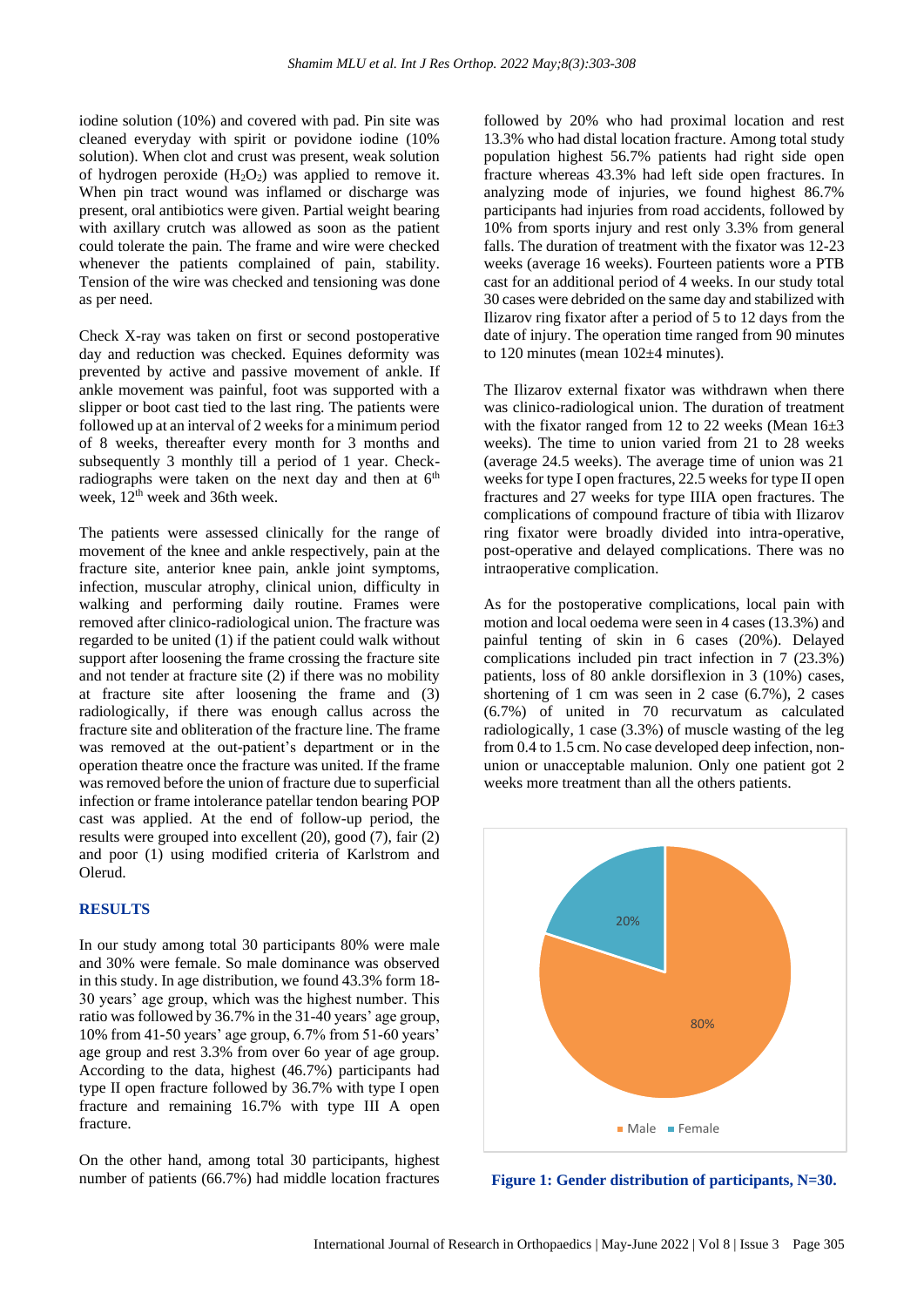iodine solution (10%) and covered with pad. Pin site was cleaned everyday with spirit or povidone iodine (10% solution). When clot and crust was present, weak solution of hydrogen peroxide  $(H_2O_2)$  was applied to remove it. When pin tract wound was inflamed or discharge was present, oral antibiotics were given. Partial weight bearing with axillary crutch was allowed as soon as the patient could tolerate the pain. The frame and wire were checked whenever the patients complained of pain, stability. Tension of the wire was checked and tensioning was done as per need.

Check X-ray was taken on first or second postoperative day and reduction was checked. Equines deformity was prevented by active and passive movement of ankle. If ankle movement was painful, foot was supported with a slipper or boot cast tied to the last ring. The patients were followed up at an interval of 2 weeks for a minimum period of 8 weeks, thereafter every month for 3 months and subsequently 3 monthly till a period of 1 year. Checkradiographs were taken on the next day and then at  $6<sup>th</sup>$ week,  $12<sup>th</sup>$  week and 36th week.

The patients were assessed clinically for the range of movement of the knee and ankle respectively, pain at the fracture site, anterior knee pain, ankle joint symptoms, infection, muscular atrophy, clinical union, difficulty in walking and performing daily routine. Frames were removed after clinico-radiological union. The fracture was regarded to be united (1) if the patient could walk without support after loosening the frame crossing the fracture site and not tender at fracture site (2) if there was no mobility at fracture site after loosening the frame and (3) radiologically, if there was enough callus across the fracture site and obliteration of the fracture line. The frame was removed at the out-patient's department or in the operation theatre once the fracture was united. If the frame was removed before the union of fracture due to superficial infection or frame intolerance patellar tendon bearing POP cast was applied. At the end of follow-up period, the results were grouped into excellent (20), good (7), fair (2) and poor (1) using modified criteria of Karlstrom and Olerud.

## **RESULTS**

In our study among total 30 participants 80% were male and 30% were female. So male dominance was observed in this study. In age distribution, we found 43.3% form 18- 30 years' age group, which was the highest number. This ratio was followed by 36.7% in the 31-40 years' age group, 10% from 41-50 years' age group, 6.7% from 51-60 years' age group and rest 3.3% from over 6o year of age group. According to the data, highest (46.7%) participants had type II open fracture followed by 36.7% with type I open fracture and remaining 16.7% with type III A open fracture.

On the other hand, among total 30 participants, highest number of patients (66.7%) had middle location fractures followed by 20% who had proximal location and rest 13.3% who had distal location fracture. Among total study population highest 56.7% patients had right side open fracture whereas 43.3% had left side open fractures. In analyzing mode of injuries, we found highest 86.7% participants had injuries from road accidents, followed by 10% from sports injury and rest only 3.3% from general falls. The duration of treatment with the fixator was 12-23 weeks (average 16 weeks). Fourteen patients wore a PTB cast for an additional period of 4 weeks. In our study total 30 cases were debrided on the same day and stabilized with Ilizarov ring fixator after a period of 5 to 12 days from the date of injury. The operation time ranged from 90 minutes to 120 minutes (mean 102+4 minutes).

The Ilizarov external fixator was withdrawn when there was clinico-radiological union. The duration of treatment with the fixator ranged from 12 to 22 weeks (Mean  $16\pm3$ weeks). The time to union varied from 21 to 28 weeks (average 24.5 weeks). The average time of union was 21 weeks for type I open fractures, 22.5 weeks for type II open fractures and 27 weeks for type IIIA open fractures. The complications of compound fracture of tibia with Ilizarov ring fixator were broadly divided into intra-operative, post-operative and delayed complications. There was no intraoperative complication.

As for the postoperative complications, local pain with motion and local oedema were seen in 4 cases (13.3%) and painful tenting of skin in 6 cases (20%). Delayed complications included pin tract infection in 7 (23.3%) patients, loss of 80 ankle dorsiflexion in 3 (10%) cases, shortening of 1 cm was seen in 2 case (6.7%), 2 cases (6.7%) of united in 70 recurvatum as calculated radiologically, 1 case (3.3%) of muscle wasting of the leg from 0.4 to 1.5 cm. No case developed deep infection, nonunion or unacceptable malunion. Only one patient got 2 weeks more treatment than all the others patients.



**Figure 1: Gender distribution of participants, N=30.**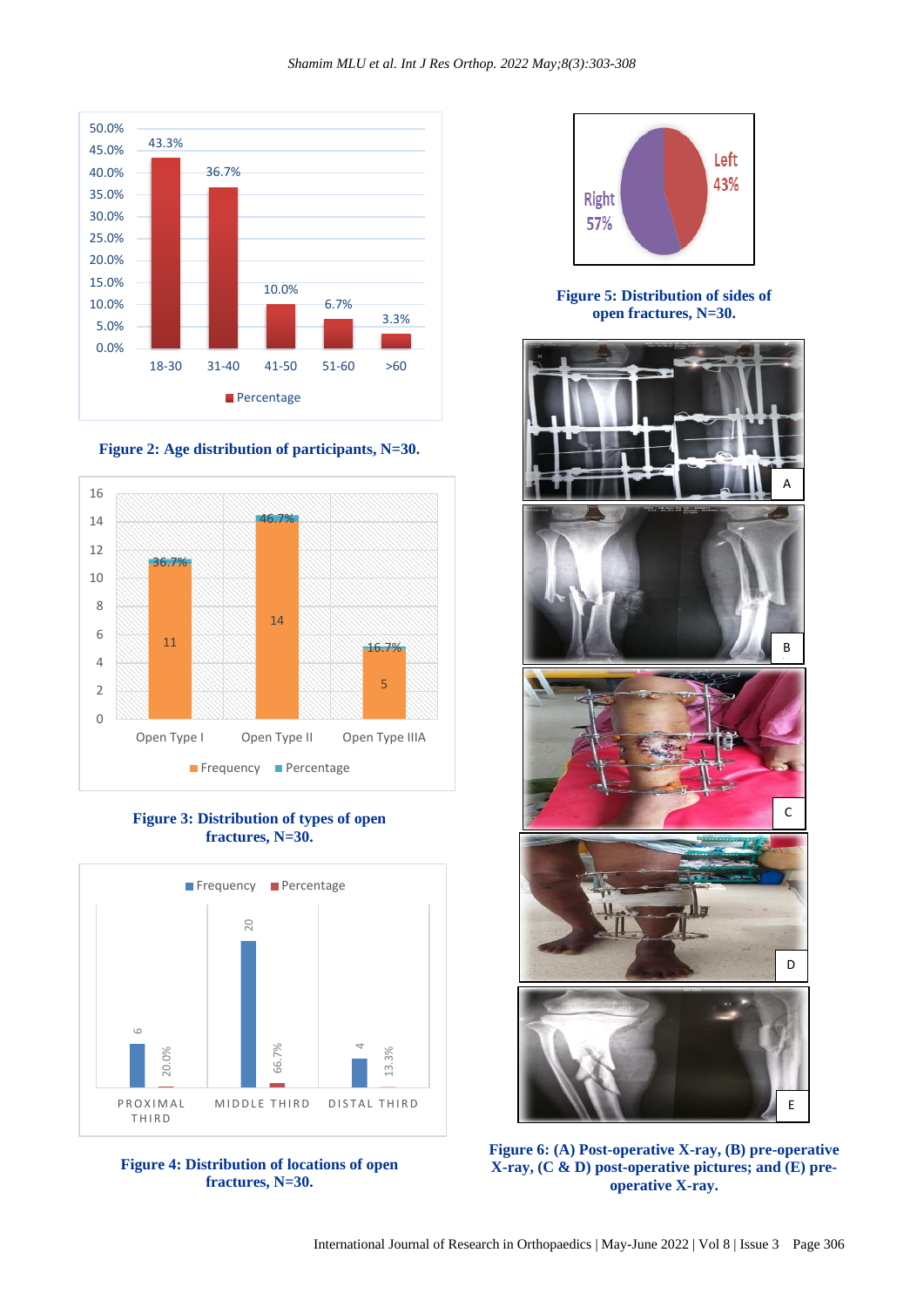



**Figure 2: Age distribution of participants, N=30.**

**Figure 3: Distribution of types of open fractures, N=30.**







**Figure 5: Distribution of sides of open fractures, N=30.**



**Figure 6: (A) Post-operative X-ray, (B) pre-operative X-ray, (C & D) post-operative pictures; and (E) preoperative X-ray.**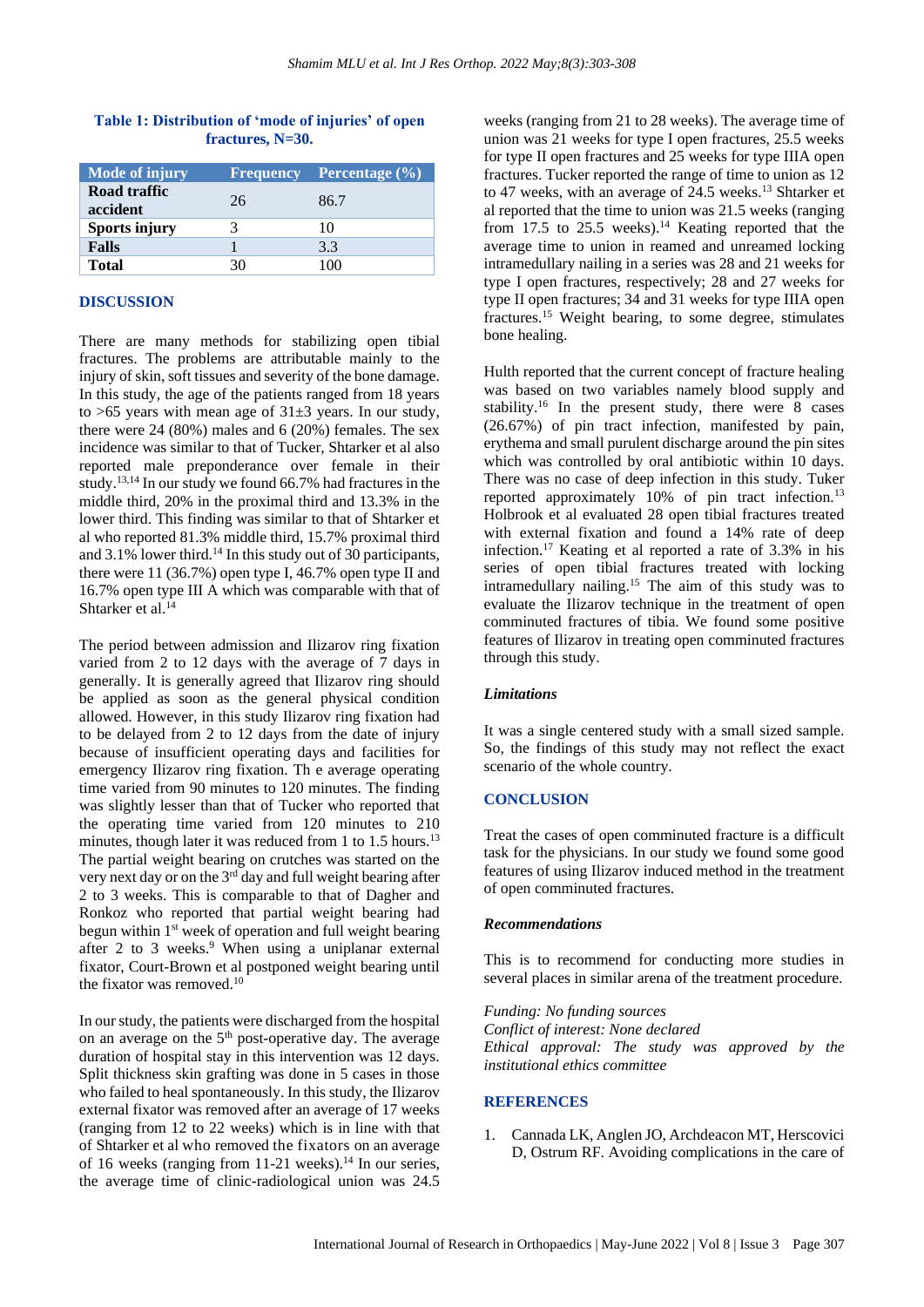| <b>Mode of injury</b>    | Frequency | <b>Percentage</b> $(\% )$ |
|--------------------------|-----------|---------------------------|
| Road traffic<br>accident | 26        | 86.7                      |
| <b>Sports injury</b>     |           | 10                        |
| <b>Falls</b>             |           | 3.3                       |
| <b>Total</b>             |           |                           |

## **Table 1: Distribution of 'mode of injuries' of open fractures, N=30.**

## **DISCUSSION**

There are many methods for stabilizing open tibial fractures. The problems are attributable mainly to the injury of skin, soft tissues and severity of the bone damage. In this study, the age of the patients ranged from 18 years to >65 years with mean age of 31±3 years. In our study, there were 24 (80%) males and 6 (20%) females. The sex incidence was similar to that of Tucker, Shtarker et al also reported male preponderance over female in their study.13,14 In our study we found 66.7% had fractures in the middle third, 20% in the proximal third and 13.3% in the lower third. This finding was similar to that of Shtarker et al who reported 81.3% middle third, 15.7% proximal third and  $3.1\%$  lower third.<sup>14</sup> In this study out of 30 participants, there were 11 (36.7%) open type I, 46.7% open type II and 16.7% open type III A which was comparable with that of Shtarker et al.<sup>14</sup>

The period between admission and Ilizarov ring fixation varied from 2 to 12 days with the average of 7 days in generally. It is generally agreed that Ilizarov ring should be applied as soon as the general physical condition allowed. However, in this study Ilizarov ring fixation had to be delayed from 2 to 12 days from the date of injury because of insufficient operating days and facilities for emergency Ilizarov ring fixation. Th e average operating time varied from 90 minutes to 120 minutes. The finding was slightly lesser than that of Tucker who reported that the operating time varied from 120 minutes to 210 minutes, though later it was reduced from 1 to 1.5 hours.<sup>13</sup> The partial weight bearing on crutches was started on the very next day or on the 3rd day and full weight bearing after 2 to 3 weeks. This is comparable to that of Dagher and Ronkoz who reported that partial weight bearing had begun within 1<sup>st</sup> week of operation and full weight bearing after 2 to 3 weeks.<sup>9</sup> When using a uniplanar external fixator, Court-Brown et al postponed weight bearing until the fixator was removed.<sup>10</sup>

In our study, the patients were discharged from the hospital on an average on the  $5<sup>th</sup>$  post-operative day. The average duration of hospital stay in this intervention was 12 days. Split thickness skin grafting was done in 5 cases in those who failed to heal spontaneously. In this study, the Ilizarov external fixator was removed after an average of 17 weeks (ranging from 12 to 22 weeks) which is in line with that of Shtarker et al who removed the fixators on an average of 16 weeks (ranging from 11-21 weeks).<sup>14</sup> In our series, the average time of clinic-radiological union was 24.5

weeks (ranging from 21 to 28 weeks). The average time of union was 21 weeks for type I open fractures, 25.5 weeks for type II open fractures and 25 weeks for type IIIA open fractures. Tucker reported the range of time to union as 12 to 47 weeks, with an average of 24.5 weeks.<sup>13</sup> Shtarker et al reported that the time to union was 21.5 weeks (ranging from  $17.5$  to  $25.5$  weeks).<sup>14</sup> Keating reported that the average time to union in reamed and unreamed locking intramedullary nailing in a series was 28 and 21 weeks for type I open fractures, respectively; 28 and 27 weeks for type II open fractures; 34 and 31 weeks for type IIIA open fractures.<sup>15</sup> Weight bearing, to some degree, stimulates bone healing.

Hulth reported that the current concept of fracture healing was based on two variables namely blood supply and stability.<sup>16</sup> In the present study, there were 8 cases (26.67%) of pin tract infection, manifested by pain, erythema and small purulent discharge around the pin sites which was controlled by oral antibiotic within 10 days. There was no case of deep infection in this study. Tuker reported approximately 10% of pin tract infection.<sup>13</sup> Holbrook et al evaluated 28 open tibial fractures treated with external fixation and found a 14% rate of deep infection.<sup>17</sup> Keating et al reported a rate of 3.3% in his series of open tibial fractures treated with locking intramedullary nailing.<sup>15</sup> The aim of this study was to evaluate the Ilizarov technique in the treatment of open comminuted fractures of tibia. We found some positive features of Ilizarov in treating open comminuted fractures through this study.

#### *Limitations*

It was a single centered study with a small sized sample. So, the findings of this study may not reflect the exact scenario of the whole country.

#### **CONCLUSION**

Treat the cases of open comminuted fracture is a difficult task for the physicians. In our study we found some good features of using Ilizarov induced method in the treatment of open comminuted fractures.

## *Recommendations*

This is to recommend for conducting more studies in several places in similar arena of the treatment procedure.

*Funding: No funding sources Conflict of interest: None declared Ethical approval: The study was approved by the institutional ethics committee*

## **REFERENCES**

1. Cannada LK, Anglen JO, Archdeacon MT, Herscovici D, Ostrum RF. Avoiding complications in the care of